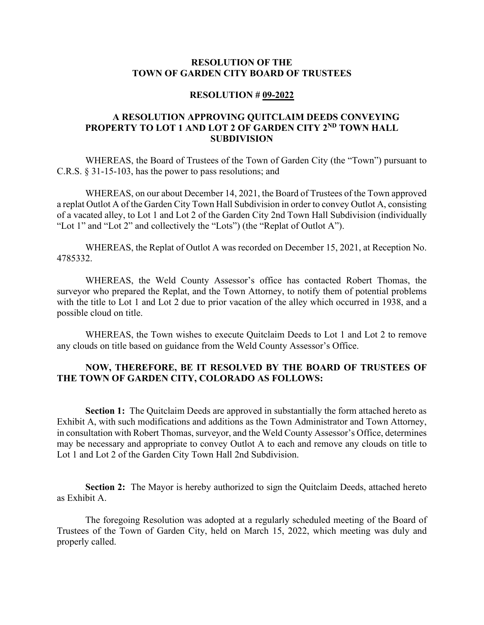#### **RESOLUTION OF THE TOWN OF GARDEN CITY BOARD OF TRUSTEES**

#### **RESOLUTION # 09-2022**

### **A RESOLUTION APPROVING QUITCLAIM DEEDS CONVEYING PROPERTY TO LOT 1 AND LOT 2 OF GARDEN CITY 2ND TOWN HALL SUBDIVISION**

WHEREAS, the Board of Trustees of the Town of Garden City (the "Town") pursuant to C.R.S. § 31-15-103, has the power to pass resolutions; and

WHEREAS, on our about December 14, 2021, the Board of Trustees of the Town approved a replat Outlot A of the Garden City Town Hall Subdivision in order to convey Outlot A, consisting of a vacated alley, to Lot 1 and Lot 2 of the Garden City 2nd Town Hall Subdivision (individually "Lot 1" and "Lot 2" and collectively the "Lots") (the "Replat of Outlot A").

WHEREAS, the Replat of Outlot A was recorded on December 15, 2021, at Reception No. 4785332.

WHEREAS, the Weld County Assessor's office has contacted Robert Thomas, the surveyor who prepared the Replat, and the Town Attorney, to notify them of potential problems with the title to Lot 1 and Lot 2 due to prior vacation of the alley which occurred in 1938, and a possible cloud on title.

WHEREAS, the Town wishes to execute Quitclaim Deeds to Lot 1 and Lot 2 to remove any clouds on title based on guidance from the Weld County Assessor's Office.

#### **NOW, THEREFORE, BE IT RESOLVED BY THE BOARD OF TRUSTEES OF THE TOWN OF GARDEN CITY, COLORADO AS FOLLOWS:**

**Section 1:** The Quitclaim Deeds are approved in substantially the form attached hereto as Exhibit A, with such modifications and additions as the Town Administrator and Town Attorney, in consultation with Robert Thomas, surveyor, and the Weld County Assessor's Office, determines may be necessary and appropriate to convey Outlot A to each and remove any clouds on title to Lot 1 and Lot 2 of the Garden City Town Hall 2nd Subdivision.

**Section 2:** The Mayor is hereby authorized to sign the Quitclaim Deeds, attached hereto as Exhibit A.

The foregoing Resolution was adopted at a regularly scheduled meeting of the Board of Trustees of the Town of Garden City, held on March 15, 2022, which meeting was duly and properly called.